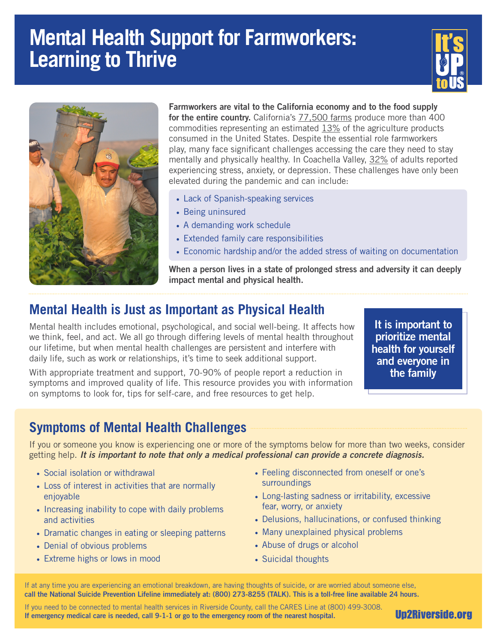# **Mental Health Support for Farmworkers: Learning to Thrive**





Farmworkers are vital to the California economy and to the food supply for the entire country. California's [77,500 farms](https://www.ocregister.com/2017/07/27/california-farms-produce-a-lot-of-food-but-what-and-how-much-might-surprise-you/) produce more than 400 commodities representing an estimated  $13\%$  of the agriculture products consumed in the United States. Despite the essential role farmworkers play, many face significant challenges accessing the care they need to stay mentally and physically healthy. In Coachella Valley, [32%](https://www.dhcd.org/media/843/HARC-2019-Executive-Report.pdf) of adults reported experiencing stress, anxiety, or depression. These challenges have only been elevated during the pandemic and can include:

- Lack of Spanish-speaking services
- Being uninsured
- A demanding work schedule
- Extended family care responsibilities
- Economic hardship and/or the added stress of waiting on documentation

When a person lives in a state of prolonged stress and adversity it can deeply impact mental and physical health.

# **Mental Health is Just as Important as Physical Health**

Mental health includes emotional, psychological, and social well-being. It affects how we think, feel, and act. We all go through differing levels of mental health throughout our lifetime, but when mental health challenges are persistent and interfere with daily life, such as work or relationships, it's time to seek additional support.

With appropriate treatment and support, 70-90% of people report a reduction in symptoms and improved quality of life. This resource provides you with information on symptoms to look for, tips for self-care, and free resources to get help.

It is important to prioritize mental health for yourself and everyone in the family

## **Symptoms of Mental Health Challenges**

If you or someone you know is experiencing one or more of the symptoms below for more than two weeks, consider getting help. *It is important to note that only a medical professional can provide a concrete diagnosis.*

- Social isolation or withdrawal
- Loss of interest in activities that are normally enjoyable
- Increasing inability to cope with daily problems and activities
- Dramatic changes in eating or sleeping patterns
- Denial of obvious problems
- Extreme highs or lows in mood
- Feeling disconnected from oneself or one's surroundings
- Long-lasting sadness or irritability, excessive fear, worry, or anxiety
- Delusions, hallucinations, or confused thinking
- Many unexplained physical problems
- Abuse of drugs or alcohol
- Suicidal thoughts

If at any time you are experiencing an emotional breakdown, are having thoughts of suicide, or are worried about someone else, call the National Suicide Prevention Lifeline immediately at: (800) 273-8255 (TALK). This is a toll-free line available 24 hours.

If you need to be connected to mental health services in Riverside County, call the CARES Line at (800) 499-3008. If emergency medical care is needed, call 9-1-1 or go to the emergency room of the nearest hospital.